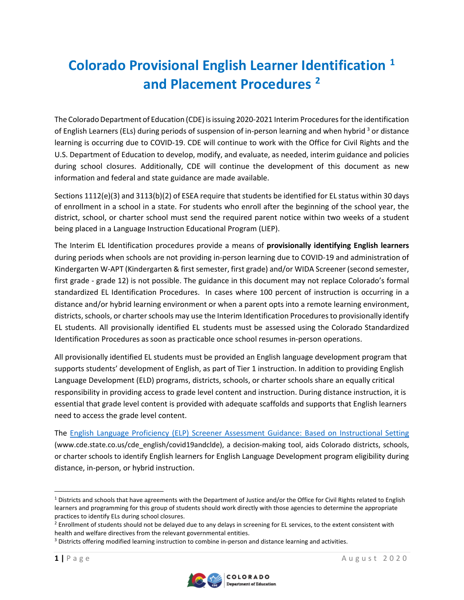# **Colorado Provisional English Learner Identification [1](#page-0-0) and Placement Procedures [2](#page-0-1)**

The Colorado Department of Education (CDE) is issuing 2020-2021 Interim Procedures for the identification of English Learners (ELs) during periods of suspension of in-person learning and when hybrid<sup>3</sup> or distance learning is occurring due to COVID-19. CDE will continue to work with the Office for Civil Rights and the U.S. Department of Education to develop, modify, and evaluate, as needed, interim guidance and policies during school closures. Additionally, CDE will continue the development of this document as new information and federal and state guidance are made available.

Sections 1112(e)(3) and 3113(b)(2) of ESEA require that students be identified for EL status within 30 days of enrollment in a school in a state. For students who enroll after the beginning of the school year, the district, school, or charter school must send the required parent notice within two weeks of a student being placed in a Language Instruction Educational Program (LIEP).

The Interim EL Identification procedures provide a means of **provisionally identifying English learners** during periods when schools are not providing in-person learning due to COVID-19 and administration of Kindergarten W-APT (Kindergarten & first semester, first grade) and/or WIDA Screener (second semester, first grade - grade 12) is not possible. The guidance in this document may not replace Colorado's formal standardized EL Identification Procedures. In cases where 100 percent of instruction is occurring in a distance and/or hybrid learning environment or when a parent opts into a remote learning environment, districts, schools, or charter schools may use the Interim Identification Procedures to provisionally identify EL students. All provisionally identified EL students must be assessed using the Colorado Standardized Identification Procedures assoon as practicable once school resumes in-person operations.

All provisionally identified EL students must be provided an English language development program that supports students' development of English, as part of Tier 1 instruction. In addition to providing English Language Development (ELD) programs, districts, schools, or charter schools share an equally critical responsibility in providing access to grade level content and instruction. During distance instruction, it is essential that grade level content is provided with adequate scaffolds and supports that English learners need to access the grade level content.

The [English Language Proficiency \(ELP\) Screener Assessment Guidance: Based on Instructional Setting](http://www.cde.state.co.us/cde_english/covid19andclde) (www.cde.state.co.us/cde\_english/covid19andclde), a decision-making tool, aids Colorado districts, schools, or charter schools to identify English learners for English Language Development program eligibility during distance, in-person, or hybrid instruction.



<span id="page-0-0"></span> $1$  Districts and schools that have agreements with the Department of Justice and/or the Office for Civil Rights related to English learners and programming for this group of students should work directly with those agencies to determine the appropriate practices to identify ELs during school closures.

<span id="page-0-1"></span><sup>&</sup>lt;sup>2</sup> Enrollment of students should not be delayed due to any delays in screening for EL services, to the extent consistent with health and welfare directives from the relevant governmental entities.

<sup>&</sup>lt;sup>3</sup> Districts offering modified learning instruction to combine in-person and distance learning and activities.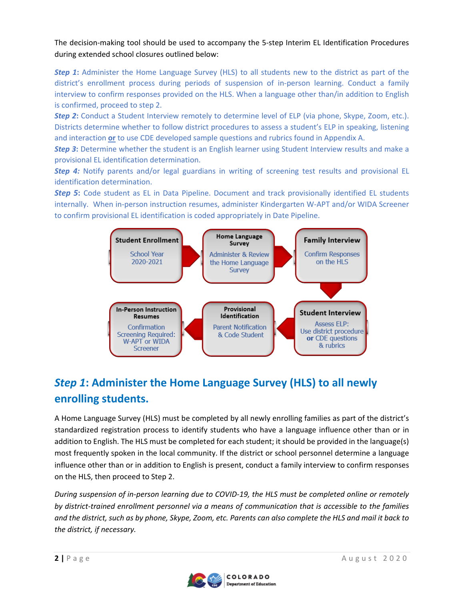The decision-making tool should be used to accompany the 5-step Interim EL Identification Procedures during extended school closures outlined below:

*Step 1*: Administer the Home Language Survey (HLS) to all students new to the district as part of the district's enrollment process during periods of suspension of in-person learning. Conduct a family interview to confirm responses provided on the HLS. When a language other than/in addition to English is confirmed, proceed to step 2.

*Step 2*: Conduct a Student Interview remotely to determine level of ELP (via phone, Skype, Zoom, etc.). Districts determine whether to follow district procedures to assess a student's ELP in speaking, listening and interaction **or** to use CDE developed sample questions and rubrics found in Appendix A.

**Step 3:** Determine whether the student is an English learner using Student Interview results and make a provisional EL identification determination.

**Step 4:** Notify parents and/or legal guardians in writing of screening test results and provisional EL identification determination.

*Step 5*: Code student as EL in Data Pipeline. Document and track provisionally identified EL students internally. When in-person instruction resumes, administer Kindergarten W-APT and/or WIDA Screener to confirm provisional EL identification is coded appropriately in Date Pipeline.



# *Step 1***: Administer the [Home Language Survey \(HLS\)](http://www.doe.mass.edu/ele/resources/communications.html) to all newly enrolling students.**

A Home Language Survey (HLS) must be completed by all newly enrolling families as part of the district's standardized registration process to identify students who have a language influence other than or in addition to English. The HLS must be completed for each student; it should be provided in the language(s) most frequently spoken in the local community. If the district or school personnel determine a language influence other than or in addition to English is present, conduct a family interview to confirm responses on the HLS, then proceed to Step 2.

*During suspension of in-person learning due to COVID-19, the HLS must be completed online or remotely by district-trained enrollment personnel via a means of communication that is accessible to the families and the district, such as by phone, Skype, Zoom, etc. Parents can also complete the HLS and mail it back to the district, if necessary.* 

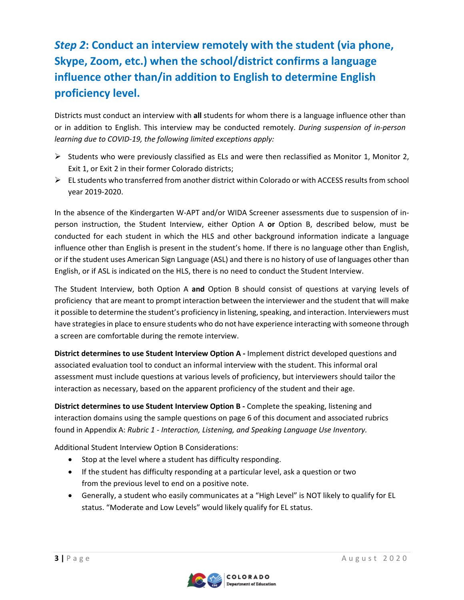# *Step 2***: Conduct an interview remotely with the student (via phone, Skype, Zoom, etc.) when the school/district confirms a language influence other than/in addition to English to determine English proficiency level.**

Districts must conduct an interview with **all** students for whom there is a language influence other than or in addition to English. This interview may be conducted remotely. *During suspension of in-person learning due to COVID-19, the following limited exceptions apply:*

- $\triangleright$  Students who were previously classified as ELs and were then reclassified as Monitor 1, Monitor 2, Exit 1, or Exit 2 in their former Colorado districts;
- $\triangleright$  EL students who transferred from another district within Colorado or with ACCESS results from school year 2019-2020.

In the absence of the Kindergarten W-APT and/or WIDA Screener assessments due to suspension of inperson instruction, the Student Interview, either Option A **or** Option B, described below, must be conducted for each student in which the HLS and other background information indicate a language influence other than English is present in the student's home. If there is no language other than English, or if the student uses American Sign Language (ASL) and there is no history of use of languages other than English, or if ASL is indicated on the HLS, there is no need to conduct the Student Interview.

The Student Interview, both Option A **and** Option B should consist of questions at varying levels of proficiency that are meant to prompt interaction between the interviewer and the student that will make it possible to determine the student's proficiency in listening, speaking, and interaction. Interviewers must have strategies in place to ensure students who do not have experience interacting with someone through a screen are comfortable during the remote interview.

**District determines to use Student Interview Option A -** Implement district developed questions and associated evaluation tool to conduct an informal interview with the student. This informal oral assessment must include questions at various levels of proficiency, but interviewers should tailor the interaction as necessary, based on the apparent proficiency of the student and their age.

**District determines to use Student Interview Option B -** Complete the speaking, listening and interaction domains using the sample questions on page 6 of this document and associated rubrics found in Appendix A: *Rubric 1 - Interaction, Listening, and Speaking Language Use Inventory.* 

Additional Student Interview Option B Considerations:

- Stop at the level where a student has difficulty responding.
- If the student has difficulty responding at a particular level, ask a question or two from the previous level to end on a positive note.
- Generally, a student who easily communicates at a "High Level" is NOT likely to qualify for EL status. "Moderate and Low Levels" would likely qualify for EL status.

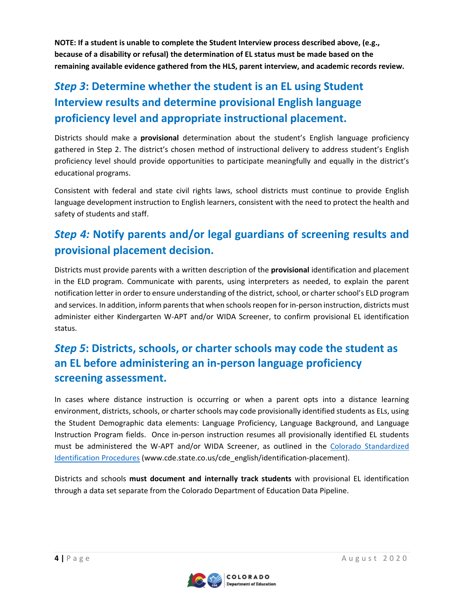**NOTE: If a student is unable to complete the Student Interview process described above, (e.g., because of a disability or refusal) the determination of EL status must be made based on the remaining available evidence gathered from the HLS, parent interview, and academic records review.** 

# *Step 3***: Determine whether the student is an EL using Student Interview results and determine provisional English language proficiency level and appropriate instructional placement.**

Districts should make a **provisional** determination about the student's English language proficiency gathered in Step 2. The district's chosen method of instructional delivery to address student's English proficiency level should provide opportunities to participate meaningfully and equally in the district's educational programs.

Consistent with federal and state civil rights laws, school districts must continue to provide English language development instruction to English learners, consistent with the need to protect the health and safety of students and staff.

### *Step 4:* **Notify parents and/or legal guardians of screening results and provisional placement decision.**

Districts must provide parents with a written description of the **provisional** identification and placement in the ELD program. Communicate with parents, using interpreters as needed, to explain the parent notification letter in order to ensure understanding of the district, school, or charter school's ELD program and services. In addition, inform parents that when schools reopen for in-person instruction, districts must administer either Kindergarten W-APT and/or WIDA Screener, to confirm provisional EL identification status.

### *Step 5***: Districts, schools, or charter schools may code the student as an EL before administering an in-person language proficiency screening assessment.**

In cases where distance instruction is occurring or when a parent opts into a distance learning environment, districts, schools, or charter schools may code provisionally identified students as ELs, using the Student Demographic data elements: Language Proficiency, Language Background, and Language Instruction Program fields. Once in-person instruction resumes all provisionally identified EL students must be administered the W-APT and/or WIDA Screener, as outlined in the [Colorado Standardized](http://www.cde.state.co.us/cde_english/identification-placement)  [Identification Procedures](http://www.cde.state.co.us/cde_english/identification-placement) (www.cde.state.co.us/cde\_english/identification-placement).

Districts and schools **must document and internally track students** with provisional EL identification through a data set separate from the Colorado Department of Education Data Pipeline.

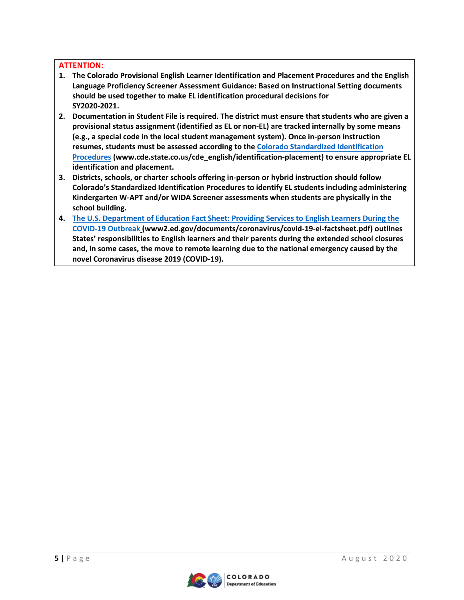#### **ATTENTION:**

- **1. The Colorado Provisional English Learner Identification and Placement Procedures and the English Language Proficiency Screener Assessment Guidance: Based on Instructional Setting documents should be used together to make EL identification procedural decisions for SY2020-2021.**
- **2. Documentation in Student File is required. The district must ensure that students who are given a provisional status assignment (identified as EL or non-EL) are tracked internally by some means (e.g., a special code in the local student management system). Once in-person instruction resumes, students must be assessed according to the [Colorado Standardized Identification](http://www.cde.state.co.us/cde_english/identification-placement) [Procedures](http://www.cde.state.co.us/cde_english/identification-placement) (www.cde.state.co.us/cde\_english/identification-placement) to ensure appropriate EL identification and placement.**
- **3. Districts, schools, or charter schools offering in-person or hybrid instruction should follow Colorado's Standardized Identification Procedures to identify EL students including administering Kindergarten W-APT and/or WIDA Screener assessments when students are physically in the school building.**
- **4. The U.S. Department of Education Fact Sheet: [Providing Services to English Learners](https://www2.ed.gov/documents/coronavirus/covid-19-el-factsheet.pdf) During the [COVID-19 Outbreak](https://www2.ed.gov/documents/coronavirus/covid-19-el-factsheet.pdf) (www2.ed.gov/documents/coronavirus/covid-19-el-factsheet.pdf) outlines States' responsibilities to English learners and their parents during the extended school closures and, in some cases, the move to remote learning due to the national emergency caused by the novel Coronavirus disease 2019 (COVID-19).**

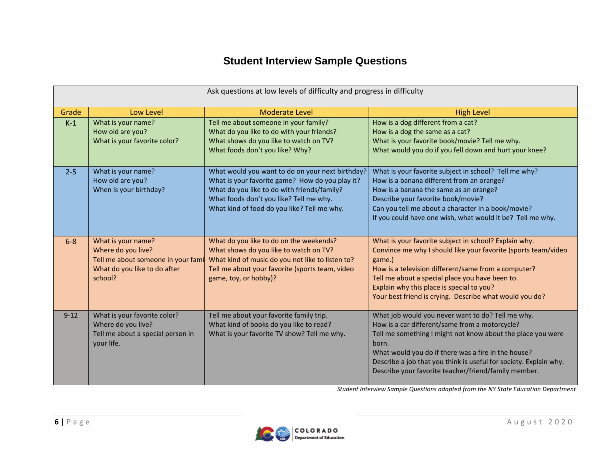### **Student Interview Sample Questions**

| Ask questions at low levels of difficulty and progress in difficulty |                                                                                                                           |                                                                                                                                                                                                                                              |                                                                                                                                                                                                                                                                                                                                                                 |  |
|----------------------------------------------------------------------|---------------------------------------------------------------------------------------------------------------------------|----------------------------------------------------------------------------------------------------------------------------------------------------------------------------------------------------------------------------------------------|-----------------------------------------------------------------------------------------------------------------------------------------------------------------------------------------------------------------------------------------------------------------------------------------------------------------------------------------------------------------|--|
| Grade                                                                | Low Level                                                                                                                 | <b>Moderate Level</b>                                                                                                                                                                                                                        | <b>High Level</b>                                                                                                                                                                                                                                                                                                                                               |  |
| $K-1$                                                                | What is your name?<br>How old are you?<br>What is your favorite color?                                                    | Tell me about someone in your family?<br>What do you like to do with your friends?<br>What shows do you like to watch on TV?<br>What foods don't you like? Why?                                                                              | How is a dog different from a cat?<br>How is a dog the same as a cat?<br>What is your favorite book/movie? Tell me why.<br>What would you do if you fell down and hurt your knee?                                                                                                                                                                               |  |
| $2 - 5$                                                              | What is your name?<br>How old are you?<br>When is your birthday?                                                          | What would you want to do on your next birthday?<br>What is your favorite game? How do you play it?<br>What do you like to do with friends/family?<br>What foods don't you like? Tell me why.<br>What kind of food do you like? Tell me why. | What is your favorite subject in school? Tell me why?<br>How is a banana different from an orange?<br>How is a banana the same as an orange?<br>Describe your favorite book/movie?<br>Can you tell me about a character in a book/movie?<br>If you could have one wish, what would it be? Tell me why.                                                          |  |
| $6 - 8$                                                              | What is your name?<br>Where do you live?<br>Tell me about someone in your fami<br>What do you like to do after<br>school? | What do you like to do on the weekends?<br>What shows do you like to watch on TV?<br>What kind of music do you not like to listen to?<br>Tell me about your favorite (sports team, video<br>game, toy, or hobby)?                            | What is your favorite subject in school? Explain why.<br>Convince me why I should like your favorite (sports team/video<br>game.)<br>How is a television different/same from a computer?<br>Tell me about a special place you have been to.<br>Explain why this place is special to you?<br>Your best friend is crying. Describe what would you do?             |  |
| $9 - 12$                                                             | What is your favorite color?<br>Where do you live?<br>Tell me about a special person in<br>your life.                     | Tell me about your favorite family trip.<br>What kind of books do you like to read?<br>What is your favorite TV show? Tell me why.                                                                                                           | What job would you never want to do? Tell me why.<br>How is a car different/same from a motorcycle?<br>Tell me something I might not know about the place you were<br>born.<br>What would you do if there was a fire in the house?<br>Describe a job that you think is useful for society. Explain why.<br>Describe your favorite teacher/friend/family member. |  |

*Student Interview Sample Questions adapted from the NY State Education Department*

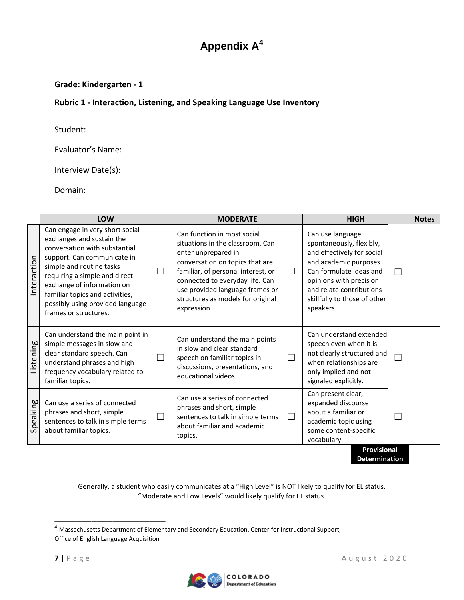### **Appendix A<sup>4</sup>**

#### **Grade: Kindergarten - 1**

#### **Rubric 1 - Interaction, Listening, and Speaking Language Use Inventory**

Student:

Evaluator's Name:

Interview Date(s):

Domain:

|                                            | <b>LOW</b>                                                                                                                                                                                                                                                                                                              | <b>MODERATE</b>                                                                                                                                                                                                                                                                                     | <b>HIGH</b>                                                                                                                                                                                                                         | <b>Notes</b> |
|--------------------------------------------|-------------------------------------------------------------------------------------------------------------------------------------------------------------------------------------------------------------------------------------------------------------------------------------------------------------------------|-----------------------------------------------------------------------------------------------------------------------------------------------------------------------------------------------------------------------------------------------------------------------------------------------------|-------------------------------------------------------------------------------------------------------------------------------------------------------------------------------------------------------------------------------------|--------------|
| Interaction                                | Can engage in very short social<br>exchanges and sustain the<br>conversation with substantial<br>support. Can communicate in<br>simple and routine tasks<br>requiring a simple and direct<br>exchange of information on<br>familiar topics and activities,<br>possibly using provided language<br>frames or structures. | Can function in most social<br>situations in the classroom. Can<br>enter unprepared in<br>conversation on topics that are<br>familiar, of personal interest, or<br>$\Box$<br>connected to everyday life. Can<br>use provided language frames or<br>structures as models for original<br>expression. | Can use language<br>spontaneously, flexibly,<br>and effectively for social<br>and academic purposes.<br>Can formulate ideas and<br>opinions with precision<br>and relate contributions<br>skillfully to those of other<br>speakers. |              |
| Listening                                  | Can understand the main point in<br>simple messages in slow and<br>clear standard speech. Can<br>understand phrases and high<br>frequency vocabulary related to<br>familiar topics.                                                                                                                                     | Can understand the main points<br>in slow and clear standard<br>speech on familiar topics in<br>$\mathbf{L}$<br>discussions, presentations, and<br>educational videos.                                                                                                                              | Can understand extended<br>speech even when it is<br>not clearly structured and<br>when relationships are<br>only implied and not<br>signaled explicitly.                                                                           |              |
| Speaking                                   | Can use a series of connected<br>phrases and short, simple<br>$\blacksquare$<br>sentences to talk in simple terms<br>about familiar topics.                                                                                                                                                                             | Can use a series of connected<br>phrases and short, simple<br>sentences to talk in simple terms<br>$\mathbf{L}$<br>about familiar and academic<br>topics.                                                                                                                                           | Can present clear,<br>expanded discourse<br>about a familiar or<br>academic topic using<br>some content-specific<br>vocabulary.                                                                                                     |              |
| <b>Provisional</b><br><b>Determination</b> |                                                                                                                                                                                                                                                                                                                         |                                                                                                                                                                                                                                                                                                     |                                                                                                                                                                                                                                     |              |

Generally, a student who easily communicates at a "High Level" is NOT likely to qualify for EL status. "Moderate and Low Levels" would likely qualify for EL status.

\_\_\_\_\_\_\_\_\_\_\_\_\_\_\_\_\_\_\_\_\_

<sup>4</sup> Massachusetts Department of Elementary and Secondary Education, Center for Instructional Support, Office of English Language Acquisition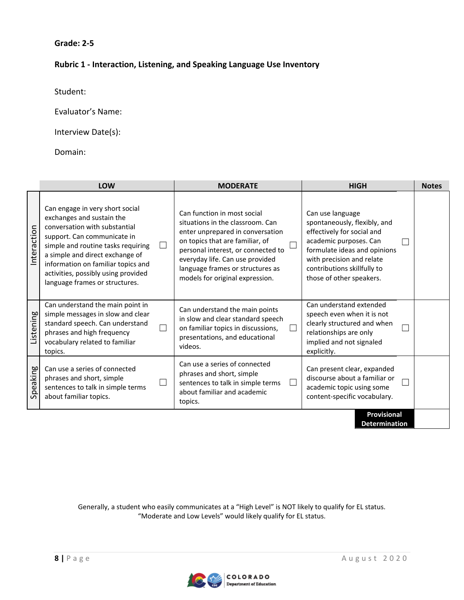### **Rubric 1 - Interaction, Listening, and Speaking Language Use Inventory**

Student:

Evaluator's Name:

Interview Date(s):

Domain:

|             | <b>LOW</b>                                                                                                                                                                                                                                                                                                           | <b>MODERATE</b>                                                                                                                                                                                                                                                                        | <b>HIGH</b>                                                                                                                                                                                                                      | <b>Notes</b> |
|-------------|----------------------------------------------------------------------------------------------------------------------------------------------------------------------------------------------------------------------------------------------------------------------------------------------------------------------|----------------------------------------------------------------------------------------------------------------------------------------------------------------------------------------------------------------------------------------------------------------------------------------|----------------------------------------------------------------------------------------------------------------------------------------------------------------------------------------------------------------------------------|--------------|
| Interaction | Can engage in very short social<br>exchanges and sustain the<br>conversation with substantial<br>support. Can communicate in<br>simple and routine tasks requiring<br>a simple and direct exchange of<br>information on familiar topics and<br>activities, possibly using provided<br>language frames or structures. | Can function in most social<br>situations in the classroom. Can<br>enter unprepared in conversation<br>on topics that are familiar, of<br>personal interest, or connected to<br>everyday life. Can use provided<br>language frames or structures as<br>models for original expression. | Can use language<br>spontaneously, flexibly, and<br>effectively for social and<br>academic purposes. Can<br>formulate ideas and opinions<br>with precision and relate<br>contributions skillfully to<br>those of other speakers. |              |
| Listening   | Can understand the main point in<br>simple messages in slow and clear<br>standard speech. Can understand<br>phrases and high frequency<br>vocabulary related to familiar<br>topics.                                                                                                                                  | Can understand the main points<br>in slow and clear standard speech<br>on familiar topics in discussions,<br>presentations, and educational<br>videos.                                                                                                                                 | Can understand extended<br>speech even when it is not<br>clearly structured and when<br>relationships are only<br>implied and not signaled<br>explicitly.                                                                        |              |
| Speaking    | Can use a series of connected<br>phrases and short, simple<br>sentences to talk in simple terms<br>about familiar topics.                                                                                                                                                                                            | Can use a series of connected<br>phrases and short, simple<br>sentences to talk in simple terms<br>about familiar and academic<br>topics.                                                                                                                                              | Can present clear, expanded<br>discourse about a familiar or<br>academic topic using some<br>content-specific vocabulary.                                                                                                        |              |
|             |                                                                                                                                                                                                                                                                                                                      |                                                                                                                                                                                                                                                                                        | <b>Provisional</b><br><b>Determination</b>                                                                                                                                                                                       |              |

Generally, a student who easily communicates at a "High Level" is NOT likely to qualify for EL status. "Moderate and Low Levels" would likely qualify for EL status.

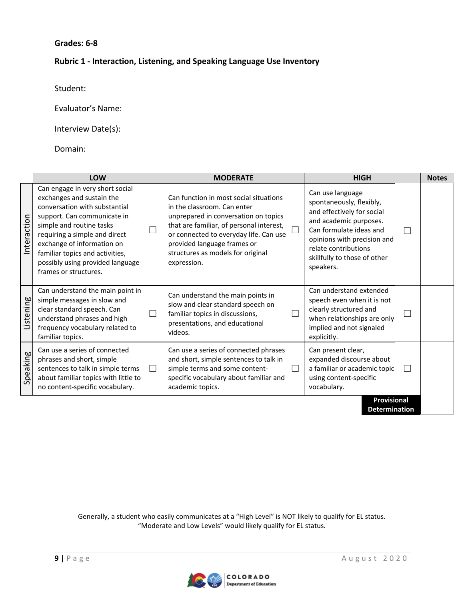#### **Grades: 6-8**

#### **Rubric 1 - Interaction, Listening, and Speaking Language Use Inventory**

Student:

Evaluator's Name:

Interview Date(s):

Domain:

|             | <b>LOW</b>                                                                                                                                                                                                                                                                                                              | <b>MODERATE</b>                                                                                                                                                                                                                                                                        | <b>HIGH</b>                                                                                                                                                                                                                         | <b>Notes</b> |
|-------------|-------------------------------------------------------------------------------------------------------------------------------------------------------------------------------------------------------------------------------------------------------------------------------------------------------------------------|----------------------------------------------------------------------------------------------------------------------------------------------------------------------------------------------------------------------------------------------------------------------------------------|-------------------------------------------------------------------------------------------------------------------------------------------------------------------------------------------------------------------------------------|--------------|
| Interaction | Can engage in very short social<br>exchanges and sustain the<br>conversation with substantial<br>support. Can communicate in<br>simple and routine tasks<br>requiring a simple and direct<br>exchange of information on<br>familiar topics and activities,<br>possibly using provided language<br>frames or structures. | Can function in most social situations<br>in the classroom. Can enter<br>unprepared in conversation on topics<br>that are familiar, of personal interest,<br>or connected to everyday life. Can use<br>provided language frames or<br>structures as models for original<br>expression. | Can use language<br>spontaneously, flexibly,<br>and effectively for social<br>and academic purposes.<br>Can formulate ideas and<br>opinions with precision and<br>relate contributions<br>skillfully to those of other<br>speakers. |              |
| Listening   | Can understand the main point in<br>simple messages in slow and<br>clear standard speech. Can<br>understand phrases and high<br>frequency vocabulary related to<br>familiar topics.                                                                                                                                     | Can understand the main points in<br>slow and clear standard speech on<br>familiar topics in discussions,<br>presentations, and educational<br>videos.                                                                                                                                 | Can understand extended<br>speech even when it is not<br>clearly structured and<br>when relationships are only<br>implied and not signaled<br>explicitly.                                                                           |              |
| Speaking    | Can use a series of connected<br>phrases and short, simple<br>sentences to talk in simple terms<br>$\Box$<br>about familiar topics with little to<br>no content-specific vocabulary.                                                                                                                                    | Can use a series of connected phrases<br>and short, simple sentences to talk in<br>simple terms and some content-<br>specific vocabulary about familiar and<br>academic topics.                                                                                                        | Can present clear,<br>expanded discourse about<br>a familiar or academic topic<br>using content-specific<br>vocabulary.                                                                                                             |              |
|             |                                                                                                                                                                                                                                                                                                                         |                                                                                                                                                                                                                                                                                        | Provisional                                                                                                                                                                                                                         |              |

**Determination**

Generally, a student who easily communicates at a "High Level" is NOT likely to qualify for EL status. "Moderate and Low Levels" would likely qualify for EL status.